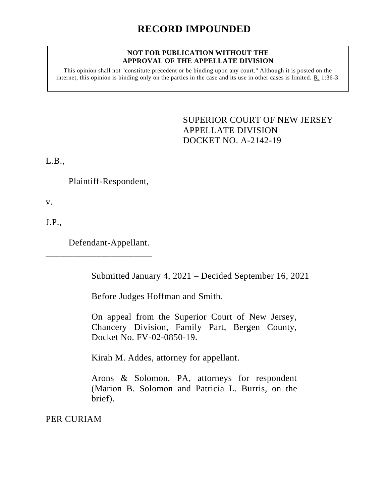## **RECORD IMPOUNDED**

## **NOT FOR PUBLICATION WITHOUT THE APPROVAL OF THE APPELLATE DIVISION**

This opinion shall not "constitute precedent or be binding upon any court." Although it is posted on the internet, this opinion is binding only on the parties in the case and its use in other cases is limited. R. 1:36-3.

> <span id="page-0-0"></span>SUPERIOR COURT OF NEW JERSEY APPELLATE DIVISION DOCKET NO. A-2142-19

L.B.,

Plaintiff-Respondent,

v.

J.P.,

Defendant-Appellant.

\_\_\_\_\_\_\_\_\_\_\_\_\_\_\_\_\_\_\_\_\_\_\_

Submitted January 4, 2021 – Decided September 16, 2021

Before Judges Hoffman and Smith.

On appeal from the Superior Court of New Jersey, Chancery Division, Family Part, Bergen County, Docket No. FV-02-0850-19.

Kirah M. Addes, attorney for appellant.

Arons & Solomon, PA, attorneys for respondent (Marion B. Solomon and Patricia L. Burris, on the brief).

PER CURIAM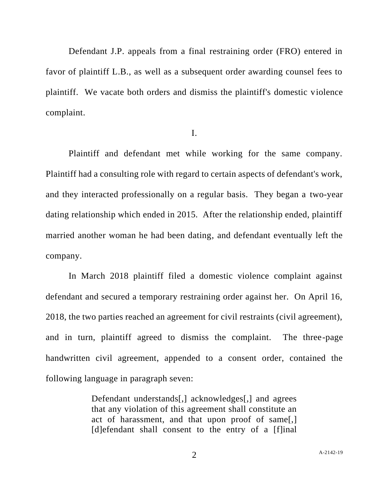Defendant J.P. appeals from a final restraining order (FRO) entered in favor of plaintiff L.B., as well as a subsequent order awarding counsel fees to plaintiff. We vacate both orders and dismiss the plaintiff's domestic violence complaint.

I.

Plaintiff and defendant met while working for the same company. Plaintiff had a consulting role with regard to certain aspects of defendant's work, and they interacted professionally on a regular basis. They began a two-year dating relationship which ended in 2015. After the relationship ended, plaintiff married another woman he had been dating, and defendant eventually left the company.

In March 2018 plaintiff filed a domestic violence complaint against defendant and secured a temporary restraining order against her. On April 16, 2018, the two parties reached an agreement for civil restraints (civil agreement), and in turn, plaintiff agreed to dismiss the complaint. The three-page handwritten civil agreement, appended to a consent order, contained the following language in paragraph seven:

> Defendant understands[,] acknowledges[,] and agrees that any violation of this agreement shall constitute an act of harassment, and that upon proof of same[,] [d]efendant shall consent to the entry of a [f]inal

2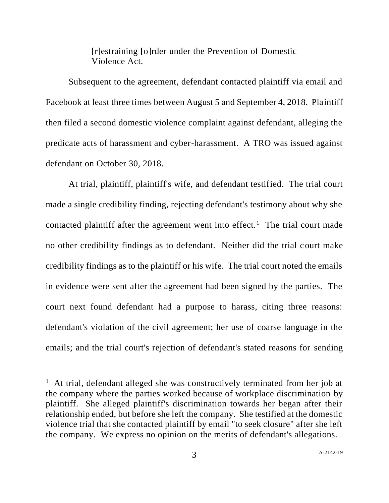[r]estraining [o]rder under the Prevention of Domestic Violence Act.

Subsequent to the agreement, defendant contacted plaintiff via email and Facebook at least three times between August 5 and September 4, 2018. Plaintiff then filed a second domestic violence complaint against defendant, alleging the predicate acts of harassment and cyber-harassment. A TRO was issued against defendant on October 30, 2018.

At trial, plaintiff, plaintiff's wife, and defendant testified. The trial court made a single credibility finding, rejecting defendant's testimony about why she contacted plaintiff after the agreement went into effect.<sup>1</sup> The trial court made no other credibility findings as to defendant. Neither did the trial court make credibility findings as to the plaintiff or his wife. The trial court noted the emails in evidence were sent after the agreement had been signed by the parties. The court next found defendant had a purpose to harass, citing three reasons: defendant's violation of the civil agreement; her use of coarse language in the emails; and the trial court's rejection of defendant's stated reasons for sending

<sup>&</sup>lt;sup>1</sup> At trial, defendant alleged she was constructively terminated from her job at the company where the parties worked because of workplace discrimination by plaintiff. She alleged plaintiff's discrimination towards her began after their relationship ended, but before she left the company. She testified at the domestic violence trial that she contacted plaintiff by email "to seek closure" after she left the company. We express no opinion on the merits of defendant's allegations.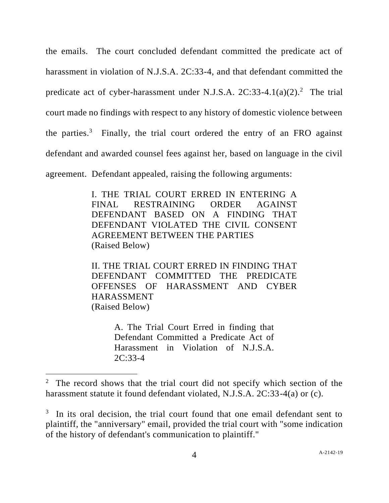the emails. The court concluded defendant committed the predicate act of harassment in violation of N.J.S.A. 2C:33-4, and that defendant committed the predicate act of cyber-harassment under N.J.S.A.  $2C:33-4.1(a)(2).^{2}$  The trial court made no findings with respect to any history of domestic violence between the parties.<sup>3</sup> Finally, the trial court ordered the entry of an FRO against defendant and awarded counsel fees against her, based on language in the civil agreement. Defendant appealed, raising the following arguments:

> I. THE TRIAL COURT ERRED IN ENTERING A FINAL RESTRAINING ORDER AGAINST DEFENDANT BASED ON A FINDING THAT DEFENDANT VIOLATED THE CIVIL CONSENT AGREEMENT BETWEEN THE PARTIES (Raised Below)

> II. THE TRIAL COURT ERRED IN FINDING THAT DEFENDANT COMMITTED THE PREDICATE OFFENSES OF HARASSMENT AND CYBER HARASSMENT (Raised Below)

> > A. The Trial Court Erred in finding that Defendant Committed a Predicate Act of Harassment in Violation of N.J.S.A. 2C:33-4

<sup>&</sup>lt;sup>2</sup> The record shows that the trial court did not specify which section of the harassment statute it found defendant violated, N.J.S.A. 2C:33-4(a) or (c).

<sup>&</sup>lt;sup>3</sup> In its oral decision, the trial court found that one email defendant sent to plaintiff, the "anniversary" email, provided the trial court with "some indication of the history of defendant's communication to plaintiff."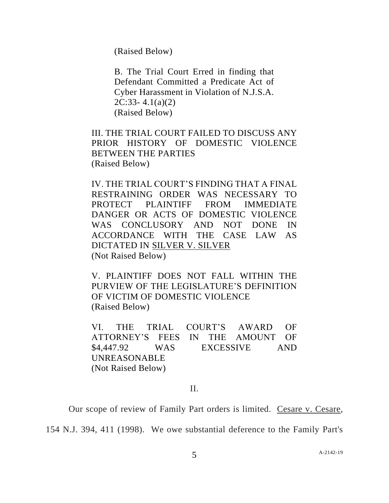(Raised Below)

B. The Trial Court Erred in finding that Defendant Committed a Predicate Act of Cyber Harassment in Violation of N.J.S.A. 2C:33- 4.1(a)(2) (Raised Below)

III. THE TRIAL COURT FAILED TO DISCUSS ANY PRIOR HISTORY OF DOMESTIC VIOLENCE BETWEEN THE PARTIES (Raised Below)

IV. THE TRIAL COURT'S FINDING THAT A FINAL RESTRAINING ORDER WAS NECESSARY TO PROTECT PLAINTIFF FROM IMMEDIATE DANGER OR ACTS OF DOMESTIC VIOLENCE WAS CONCLUSORY AND NOT DONE IN ACCORDANCE WITH THE CASE LAW AS DICTATED IN SILVER V. SILVER (Not Raised Below)

V. PLAINTIFF DOES NOT FALL WITHIN THE PURVIEW OF THE LEGISLATURE'S DEFINITION OF VICTIM OF DOMESTIC VIOLENCE (Raised Below)

VI. THE TRIAL COURT'S AWARD OF ATTORNEY'S FEES IN THE AMOUNT OF \$4,447.92 WAS EXCESSIVE AND UNREASONABLE (Not Raised Below)

## II.

Our scope of review of Family Part orders is limited. Cesare v. Cesare,

154 N.J. 394, 411 (1998). We owe substantial deference to the Family Part's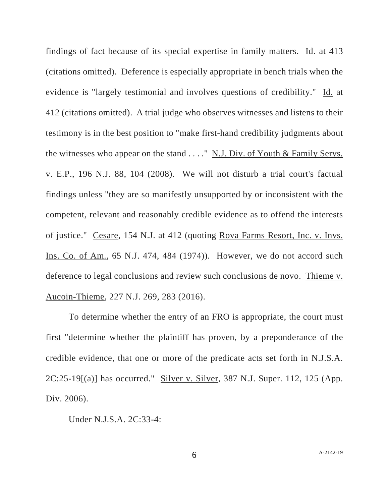findings of fact because of its special expertise in family matters. Id. at 413 (citations omitted). Deference is especially appropriate in bench trials when the evidence is "largely testimonial and involves questions of credibility." Id. at 412 (citations omitted). A trial judge who observes witnesses and listens to their testimony is in the best position to "make first-hand credibility judgments about the witnesses who appear on the stand  $\dots$ ." N.J. Div. of Youth & Family Servs. v. E.P., 196 N.J. 88, 104 (2008). We will not disturb a trial court's factual findings unless "they are so manifestly unsupported by or inconsistent with the competent, relevant and reasonably credible evidence as to offend the interests of justice." Cesare, 154 N.J. at 412 (quoting Rova Farms Resort, Inc. v. Invs. Ins. Co. of Am., 65 N.J. 474, 484 (1974)). However, we do not accord such deference to legal conclusions and review such conclusions de novo. Thieme v. Aucoin-Thieme, 227 N.J. 269, 283 (2016).

To determine whether the entry of an FRO is appropriate, the court must first "determine whether the plaintiff has proven, by a preponderance of the credible evidence, that one or more of the predicate acts set forth in N.J.S.A. 2C:25-19[(a)] has occurred." Silver v. Silver, 387 N.J. Super. 112, 125 (App. Div. 2006).

Under N.J.S.A. 2C:33-4: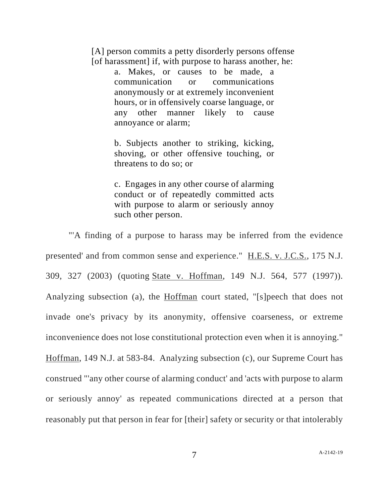[A] person commits a petty disorderly persons offense [of harassment] if, with purpose to harass another, he:

> a. Makes, or causes to be made, a communication or communications anonymously or at extremely inconvenient hours, or in offensively coarse language, or any other manner likely to cause annoyance or alarm;

> b. Subjects another to striking, kicking, shoving, or other offensive touching, or threatens to do so; or

> c. Engages in any other course of alarming conduct or of repeatedly committed acts with purpose to alarm or seriously annoy such other person.

"'A finding of a purpose to harass may be inferred from the evidence presented' and from common sense and experience." H.E.S. v. J.C.S., 175 N.J. 309, 327 (2003) (quoting State v. Hoffman, 149 N.J. 564, 577 (1997)). Analyzing subsection (a), the Hoffman court stated, "[s]peech that does not invade one's privacy by its anonymity, offensive coarseness, or extreme inconvenience does not lose constitutional protection even when it is annoying." Hoffman, 149 N.J. at 583-84. Analyzing subsection (c), our Supreme Court has construed "'any other course of alarming conduct' and 'acts with purpose to alarm or seriously annoy' as repeated communications directed at a person that reasonably put that person in fear for [their] safety or security or that intolerably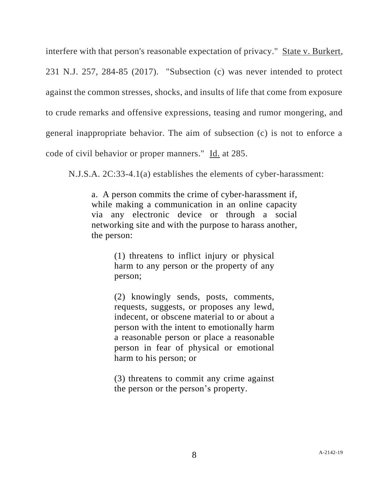interfere with that person's reasonable expectation of privacy." State v. Burkert,

231 N.J. 257, 284-85 (2017)."Subsection (c) was never intended to protect against the common stresses, shocks, and insults of life that come from exposure to crude remarks and offensive expressions, teasing and rumor mongering, and general inappropriate behavior. The aim of subsection (c) is not to enforce a code of civil behavior or proper manners." Id. at 285.

N.J.S.A. 2C:33-4.1(a) establishes the elements of cyber-harassment:

a. A person commits the crime of cyber-harassment if, while making a communication in an online capacity via any electronic device or through a social networking site and with the purpose to harass another, the person:

> (1) threatens to inflict injury or physical harm to any person or the property of any person;

> (2) knowingly sends, posts, comments, requests, suggests, or proposes any lewd, indecent, or obscene material to or about a person with the intent to emotionally harm a reasonable person or place a reasonable person in fear of physical or emotional harm to his person; or

> (3) threatens to commit any crime against the person or the person's property.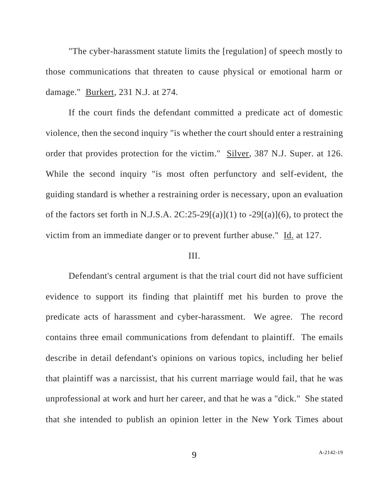"The cyber-harassment statute limits the [regulation] of speech mostly to those communications that threaten to cause physical or emotional harm or damage." Burkert, 231 N.J. at 274.

If the court finds the defendant committed a predicate act of domestic violence, then the second inquiry "is whether the court should enter a restraining order that provides protection for the victim." Silver, 387 N.J. Super. at 126. While the second inquiry "is most often perfunctory and self-evident, the guiding standard is whether a restraining order is necessary, upon an evaluation of the factors set forth in N.J.S.A.  $2C:25-29[(a)](1)$  to  $-29[(a)](6)$ , to protect the victim from an immediate danger or to prevent further abuse." Id. at 127.

## III.

Defendant's central argument is that the trial court did not have sufficient evidence to support its finding that plaintiff met his burden to prove the predicate acts of harassment and cyber-harassment. We agree. The record contains three email communications from defendant to plaintiff. The emails describe in detail defendant's opinions on various topics, including her belief that plaintiff was a narcissist, that his current marriage would fail, that he was unprofessional at work and hurt her career, and that he was a "dick." She stated that she intended to publish an opinion letter in the New York Times about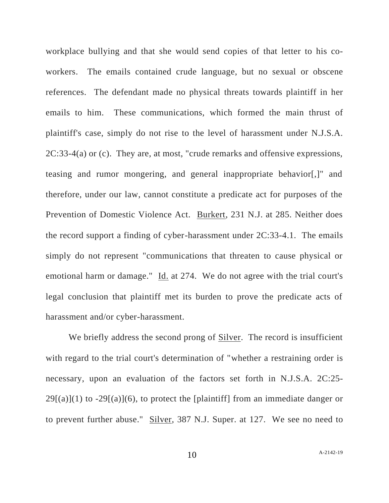workplace bullying and that she would send copies of that letter to his coworkers. The emails contained crude language, but no sexual or obscene references. The defendant made no physical threats towards plaintiff in her emails to him. These communications, which formed the main thrust of plaintiff's case, simply do not rise to the level of harassment under N.J.S.A. 2C:33-4(a) or (c). They are, at most, "crude remarks and offensive expressions, teasing and rumor mongering, and general inappropriate behavior[,]" and therefore, under our law, cannot constitute a predicate act for purposes of the Prevention of Domestic Violence Act. Burkert, 231 N.J. at 285. Neither does the record support a finding of cyber-harassment under 2C:33-4.1. The emails simply do not represent "communications that threaten to cause physical or emotional harm or damage." Id. at 274. We do not agree with the trial court's legal conclusion that plaintiff met its burden to prove the predicate acts of harassment and/or cyber-harassment.

We briefly address the second prong of Silver. The record is insufficient with regard to the trial court's determination of "whether a restraining order is necessary, upon an evaluation of the factors set forth in N.J.S.A. 2C:25-  $29[(a)](1)$  to  $-29[(a)](6)$ , to protect the [plaintiff] from an immediate danger or to prevent further abuse." Silver, 387 N.J. Super. at 127. We see no need to